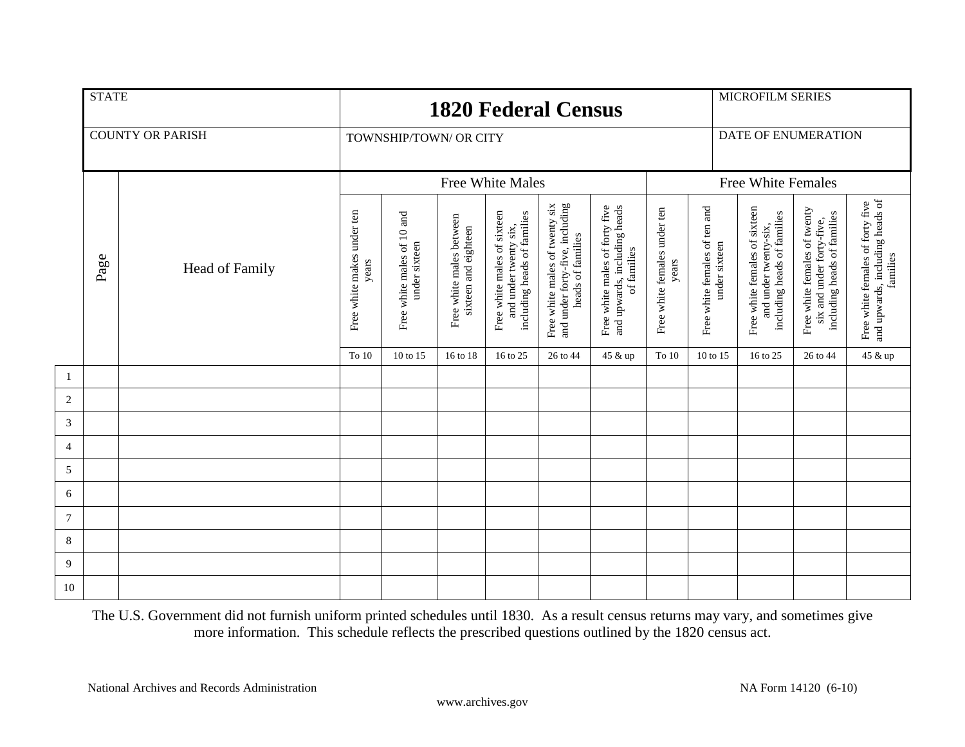|                  | <b>STATE</b> |                         |                                                                                    |                        | <b>1820 Federal Census</b>                       |                                                                                     | <b>MICROFILM SERIES</b>                                                                |                                                                               |                                                                        |          |                                                                                                        |                                                                                          |                                                                                 |
|------------------|--------------|-------------------------|------------------------------------------------------------------------------------|------------------------|--------------------------------------------------|-------------------------------------------------------------------------------------|----------------------------------------------------------------------------------------|-------------------------------------------------------------------------------|------------------------------------------------------------------------|----------|--------------------------------------------------------------------------------------------------------|------------------------------------------------------------------------------------------|---------------------------------------------------------------------------------|
|                  |              | <b>COUNTY OR PARISH</b> |                                                                                    | TOWNSHIP/TOWN/ OR CITY |                                                  |                                                                                     | DATE OF ENUMERATION                                                                    |                                                                               |                                                                        |          |                                                                                                        |                                                                                          |                                                                                 |
|                  |              |                         |                                                                                    |                        | <b>Free White Males</b>                          |                                                                                     | <b>Free White Females</b>                                                              |                                                                               |                                                                        |          |                                                                                                        |                                                                                          |                                                                                 |
|                  | Page         | Head of Family          | Free white makes under ten<br>Free white males of 10 and<br>under sixteen<br>years |                        | Free white males between<br>sixteen and eighteen | Free white males of sixteen<br>including heads of families<br>and under twenty six, | and under forty-five, including<br>Free white males of twenty six<br>heads of families | Free white males of forty five<br>and upwards, including heads<br>of families | Free white females of ten and<br>Free white females under ten<br>years |          | Free white females of sixteen<br>including heads of families<br>and under twenty-six,<br>under sixteen | Free white females of twenty<br>including heads of families<br>six and under forty-five, | and upwards, including heads of<br>families<br>Free white females of forty five |
|                  |              |                         | To 10                                                                              | 10 to 15               | 16 to 18                                         | 16 to 25                                                                            | 26 to 44                                                                               | 45 & up                                                                       | To $10$                                                                | 10 to 15 | 16 to 25                                                                                               | 26 to 44                                                                                 | 45 & up                                                                         |
| $\mathbf{1}$     |              |                         |                                                                                    |                        |                                                  |                                                                                     |                                                                                        |                                                                               |                                                                        |          |                                                                                                        |                                                                                          |                                                                                 |
| $\sqrt{2}$       |              |                         |                                                                                    |                        |                                                  |                                                                                     |                                                                                        |                                                                               |                                                                        |          |                                                                                                        |                                                                                          |                                                                                 |
| $\mathfrak{Z}$   |              |                         |                                                                                    |                        |                                                  |                                                                                     |                                                                                        |                                                                               |                                                                        |          |                                                                                                        |                                                                                          |                                                                                 |
| $\overline{4}$   |              |                         |                                                                                    |                        |                                                  |                                                                                     |                                                                                        |                                                                               |                                                                        |          |                                                                                                        |                                                                                          |                                                                                 |
| $\sqrt{5}$       |              |                         |                                                                                    |                        |                                                  |                                                                                     |                                                                                        |                                                                               |                                                                        |          |                                                                                                        |                                                                                          |                                                                                 |
| 6                |              |                         |                                                                                    |                        |                                                  |                                                                                     |                                                                                        |                                                                               |                                                                        |          |                                                                                                        |                                                                                          |                                                                                 |
| $\boldsymbol{7}$ |              |                         |                                                                                    |                        |                                                  |                                                                                     |                                                                                        |                                                                               |                                                                        |          |                                                                                                        |                                                                                          |                                                                                 |
| 8                |              |                         |                                                                                    |                        |                                                  |                                                                                     |                                                                                        |                                                                               |                                                                        |          |                                                                                                        |                                                                                          |                                                                                 |
| 9                |              |                         |                                                                                    |                        |                                                  |                                                                                     |                                                                                        |                                                                               |                                                                        |          |                                                                                                        |                                                                                          |                                                                                 |
| 10               |              |                         |                                                                                    |                        |                                                  |                                                                                     |                                                                                        |                                                                               |                                                                        |          |                                                                                                        |                                                                                          |                                                                                 |

The U.S. Government did not furnish uniform printed schedules until 1830. As a result census returns may vary, and sometimes give more information. This schedule reflects the prescribed questions outlined by the 1820 census act.